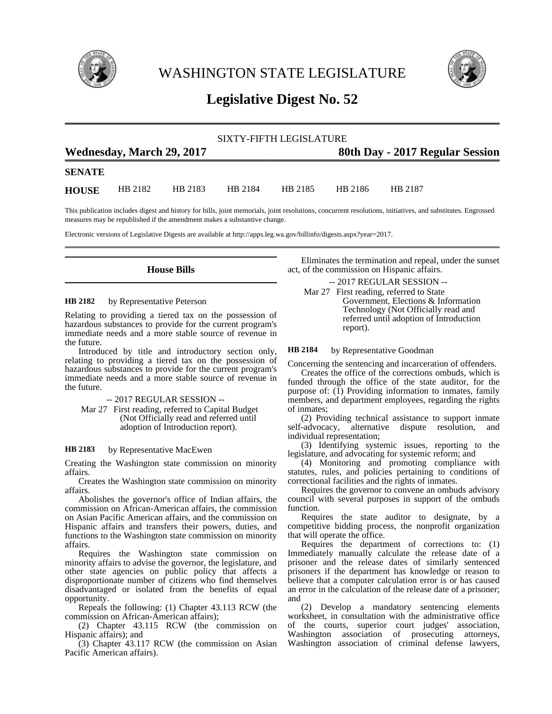

WASHINGTON STATE LEGISLATURE



# **Legislative Digest No. 52**

|                           |         |         |                                 | SIXTY-FIFTH LEGISLATURE |         |         |  |
|---------------------------|---------|---------|---------------------------------|-------------------------|---------|---------|--|
| Wednesday, March 29, 2017 |         |         | 80th Day - 2017 Regular Session |                         |         |         |  |
| <b>SENATE</b>             |         |         |                                 |                         |         |         |  |
| <b>HOUSE</b>              | HB 2182 | HB 2183 | HB 2184                         | HB 2185                 | HB 2186 | HB 2187 |  |

This publication includes digest and history for bills, joint memorials, joint resolutions, concurrent resolutions, initiatives, and substitutes. Engrossed measures may be republished if the amendment makes a substantive change.

Electronic versions of Legislative Digests are available at http://apps.leg.wa.gov/billinfo/digests.aspx?year=2017.

# **House Bills**

#### by Representative Peterson **HB 2182**

Relating to providing a tiered tax on the possession of hazardous substances to provide for the current program's immediate needs and a more stable source of revenue in the future.

Introduced by title and introductory section only, relating to providing a tiered tax on the possession of hazardous substances to provide for the current program's immediate needs and a more stable source of revenue in the future.

### -- 2017 REGULAR SESSION --

Mar 27 First reading, referred to Capital Budget (Not Officially read and referred until adoption of Introduction report).

#### by Representative MacEwen **HB 2183**

Creating the Washington state commission on minority affairs.

Creates the Washington state commission on minority affairs.

Abolishes the governor's office of Indian affairs, the commission on African-American affairs, the commission on Asian Pacific American affairs, and the commission on Hispanic affairs and transfers their powers, duties, and functions to the Washington state commission on minority affairs.

Requires the Washington state commission on minority affairs to advise the governor, the legislature, and other state agencies on public policy that affects a disproportionate number of citizens who find themselves disadvantaged or isolated from the benefits of equal opportunity.

Repeals the following: (1) Chapter 43.113 RCW (the commission on African-American affairs);

(2) Chapter 43.115 RCW (the commission on Hispanic affairs); and

(3) Chapter 43.117 RCW (the commission on Asian Pacific American affairs).

Eliminates the termination and repeal, under the sunset act, of the commission on Hispanic affairs.

-- 2017 REGULAR SESSION --

Mar 27 First reading, referred to State Government, Elections & Information Technology (Not Officially read and referred until adoption of Introduction report).

by Representative Goodman **HB 2184**

Concerning the sentencing and incarceration of offenders.

Creates the office of the corrections ombuds, which is funded through the office of the state auditor, for the purpose of: (1) Providing information to inmates, family members, and department employees, regarding the rights of inmates;

(2) Providing technical assistance to support inmate self-advocacy, alternative dispute resolution, and individual representation;

(3) Identifying systemic issues, reporting to the legislature, and advocating for systemic reform; and

(4) Monitoring and promoting compliance with statutes, rules, and policies pertaining to conditions of correctional facilities and the rights of inmates.

Requires the governor to convene an ombuds advisory council with several purposes in support of the ombuds function.

Requires the state auditor to designate, by a competitive bidding process, the nonprofit organization that will operate the office.

Requires the department of corrections to: (1) Immediately manually calculate the release date of a prisoner and the release dates of similarly sentenced prisoners if the department has knowledge or reason to believe that a computer calculation error is or has caused an error in the calculation of the release date of a prisoner; and

(2) Develop a mandatory sentencing elements worksheet, in consultation with the administrative office of the courts, superior court judges' association, Washington association of prosecuting attorneys, Washington association of criminal defense lawyers,